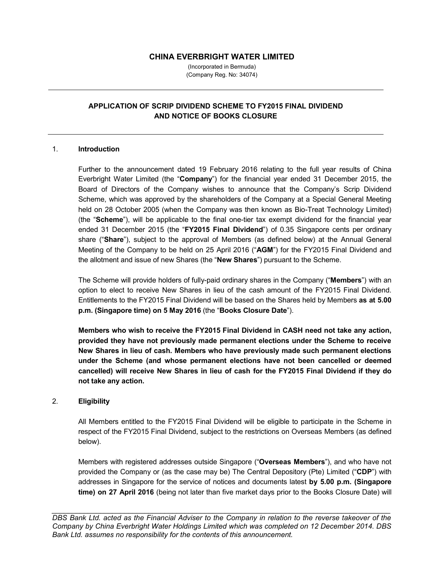## **CHINA EVERBRIGHT WATER LIMITED**

(Incorporated in Bermuda) (Company Reg. No: 34074)

## **APPLICATION OF SCRIP DIVIDEND SCHEME TO FY2015 FINAL DIVIDEND AND NOTICE OF BOOKS CLOSURE**

#### 1. **Introduction**

Further to the announcement dated 19 February 2016 relating to the full year results of China Everbright Water Limited (the "**Company**") for the financial year ended 31 December 2015, the Board of Directors of the Company wishes to announce that the Company's Scrip Dividend Scheme, which was approved by the shareholders of the Company at a Special General Meeting held on 28 October 2005 (when the Company was then known as Bio-Treat Technology Limited) (the "**Scheme**"), will be applicable to the final one-tier tax exempt dividend for the financial year ended 31 December 2015 (the "**FY2015 Final Dividend**") of 0.35 Singapore cents per ordinary share ("**Share**"), subject to the approval of Members (as defined below) at the Annual General Meeting of the Company to be held on 25 April 2016 ("**AGM**") for the FY2015 Final Dividend and the allotment and issue of new Shares (the "**New Shares**") pursuant to the Scheme.

The Scheme will provide holders of fully-paid ordinary shares in the Company ("**Members**") with an option to elect to receive New Shares in lieu of the cash amount of the FY2015 Final Dividend. Entitlements to the FY2015 Final Dividend will be based on the Shares held by Members **as at 5.00 p.m. (Singapore time) on 5 May 2016** (the "**Books Closure Date**").

**Members who wish to receive the FY2015 Final Dividend in CASH need not take any action, provided they have not previously made permanent elections under the Scheme to receive New Shares in lieu of cash. Members who have previously made such permanent elections under the Scheme (and whose permanent elections have not been cancelled or deemed cancelled) will receive New Shares in lieu of cash for the FY2015 Final Dividend if they do not take any action.**

#### 2. **Eligibility**

All Members entitled to the FY2015 Final Dividend will be eligible to participate in the Scheme in respect of the FY2015 Final Dividend, subject to the restrictions on Overseas Members (as defined below).

Members with registered addresses outside Singapore ("**Overseas Members**"), and who have not provided the Company or (as the case may be) The Central Depository (Pte) Limited ("**CDP**") with addresses in Singapore for the service of notices and documents latest **by 5.00 p.m. (Singapore time) on 27 April 2016** (being not later than five market days prior to the Books Closure Date) will

*DBS Bank Ltd. acted as the Financial Adviser to the Company in relation to the reverse takeover of the Company by China Everbright Water Holdings Limited which was completed on 12 December 2014. DBS Bank Ltd. assumes no responsibility for the contents of this announcement.*

*\_\_\_\_\_\_\_\_\_\_\_\_\_\_\_\_\_\_\_\_\_\_\_\_\_\_\_\_\_\_\_\_\_\_\_\_\_\_\_\_\_\_\_\_\_\_\_\_\_\_\_\_\_\_\_\_\_\_\_\_\_\_\_\_\_\_\_\_\_\_\_\_\_\_\_\_\_\_\_\_\_\_\_\_*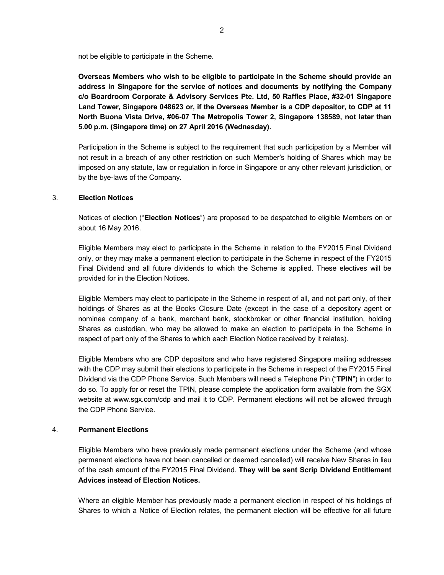not be eligible to participate in the Scheme.

**Overseas Members who wish to be eligible to participate in the Scheme should provide an address in Singapore for the service of notices and documents by notifying the Company c/o Boardroom Corporate & Advisory Services Pte. Ltd, 50 Raffles Place, #32-01 Singapore Land Tower, Singapore 048623 or, if the Overseas Member is a CDP depositor, to CDP at 11 North Buona Vista Drive, #06-07 The Metropolis Tower 2, Singapore 138589, not later than 5.00 p.m. (Singapore time) on 27 April 2016 (Wednesday).** 

Participation in the Scheme is subject to the requirement that such participation by a Member will not result in a breach of any other restriction on such Member's holding of Shares which may be imposed on any statute, law or regulation in force in Singapore or any other relevant jurisdiction, or by the bye-laws of the Company.

### 3. **Election Notices**

Notices of election ("**Election Notices**") are proposed to be despatched to eligible Members on or about 16 May 2016.

Eligible Members may elect to participate in the Scheme in relation to the FY2015 Final Dividend only, or they may make a permanent election to participate in the Scheme in respect of the FY2015 Final Dividend and all future dividends to which the Scheme is applied. These electives will be provided for in the Election Notices.

Eligible Members may elect to participate in the Scheme in respect of all, and not part only, of their holdings of Shares as at the Books Closure Date (except in the case of a depository agent or nominee company of a bank, merchant bank, stockbroker or other financial institution, holding Shares as custodian, who may be allowed to make an election to participate in the Scheme in respect of part only of the Shares to which each Election Notice received by it relates).

Eligible Members who are CDP depositors and who have registered Singapore mailing addresses with the CDP may submit their elections to participate in the Scheme in respect of the FY2015 Final Dividend via the CDP Phone Service. Such Members will need a Telephone Pin ("**TPIN**") in order to do so. To apply for or reset the TPIN, please complete the application form available from the SGX website at www.sgx.com/cdp and mail it to CDP. Permanent elections will not be allowed through the CDP Phone Service.

## 4. **Permanent Elections**

Eligible Members who have previously made permanent elections under the Scheme (and whose permanent elections have not been cancelled or deemed cancelled) will receive New Shares in lieu of the cash amount of the FY2015 Final Dividend. **They will be sent Scrip Dividend Entitlement Advices instead of Election Notices.**

Where an eligible Member has previously made a permanent election in respect of his holdings of Shares to which a Notice of Election relates, the permanent election will be effective for all future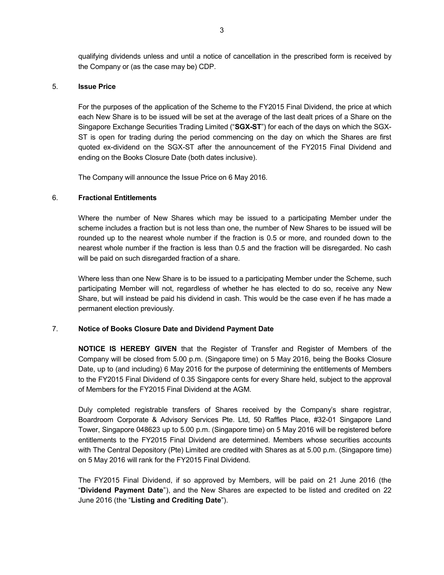qualifying dividends unless and until a notice of cancellation in the prescribed form is received by the Company or (as the case may be) CDP.

#### 5. **Issue Price**

For the purposes of the application of the Scheme to the FY2015 Final Dividend, the price at which each New Share is to be issued will be set at the average of the last dealt prices of a Share on the Singapore Exchange Securities Trading Limited ("**SGX-ST**") for each of the days on which the SGX-ST is open for trading during the period commencing on the day on which the Shares are first quoted ex-dividend on the SGX-ST after the announcement of the FY2015 Final Dividend and ending on the Books Closure Date (both dates inclusive).

The Company will announce the Issue Price on 6 May 2016.

## 6. **Fractional Entitlements**

Where the number of New Shares which may be issued to a participating Member under the scheme includes a fraction but is not less than one, the number of New Shares to be issued will be rounded up to the nearest whole number if the fraction is 0.5 or more, and rounded down to the nearest whole number if the fraction is less than 0.5 and the fraction will be disregarded. No cash will be paid on such disregarded fraction of a share.

Where less than one New Share is to be issued to a participating Member under the Scheme, such participating Member will not, regardless of whether he has elected to do so, receive any New Share, but will instead be paid his dividend in cash. This would be the case even if he has made a permanent election previously.

## 7. **Notice of Books Closure Date and Dividend Payment Date**

**NOTICE IS HEREBY GIVEN** that the Register of Transfer and Register of Members of the Company will be closed from 5.00 p.m. (Singapore time) on 5 May 2016, being the Books Closure Date, up to (and including) 6 May 2016 for the purpose of determining the entitlements of Members to the FY2015 Final Dividend of 0.35 Singapore cents for every Share held, subject to the approval of Members for the FY2015 Final Dividend at the AGM.

Duly completed registrable transfers of Shares received by the Company's share registrar, Boardroom Corporate & Advisory Services Pte. Ltd, 50 Raffles Place, #32-01 Singapore Land Tower, Singapore 048623 up to 5.00 p.m. (Singapore time) on 5 May 2016 will be registered before entitlements to the FY2015 Final Dividend are determined. Members whose securities accounts with The Central Depository (Pte) Limited are credited with Shares as at 5.00 p.m. (Singapore time) on 5 May 2016 will rank for the FY2015 Final Dividend.

The FY2015 Final Dividend, if so approved by Members, will be paid on 21 June 2016 (the "**Dividend Payment Date**"), and the New Shares are expected to be listed and credited on 22 June 2016 (the "**Listing and Crediting Date**").